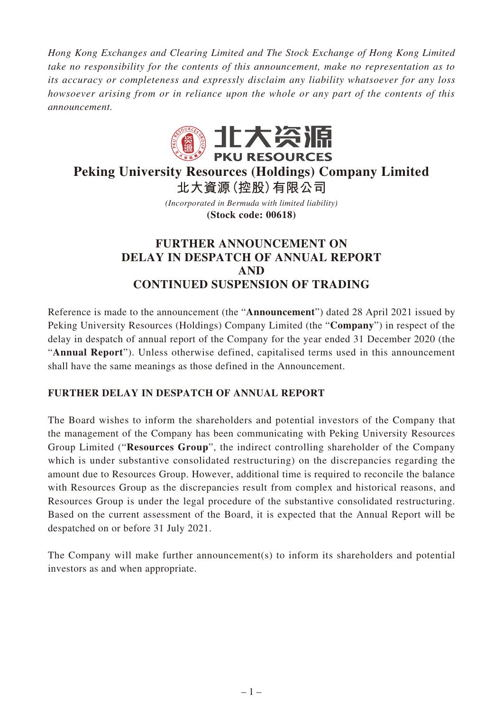*Hong Kong Exchanges and Clearing Limited and The Stock Exchange of Hong Kong Limited take no responsibility for the contents of this announcement, make no representation as to its accuracy or completeness and expressly disclaim any liability whatsoever for any loss howsoever arising from or in reliance upon the whole or any part of the contents of this announcement.*



# **Peking University Resources (Holdings) Company Limited 北大資源(控股)有限公司**

*(Incorporated in Bermuda with limited liability)* **(Stock code: 00618)**

## **FURTHER ANNOUNCEMENT ON DELAY IN DESPATCH OF ANNUAL REPORT AND CONTINUED SUSPENSION OF TRADING**

Reference is made to the announcement (the "**Announcement**") dated 28 April 2021 issued by Peking University Resources (Holdings) Company Limited (the "**Company**") in respect of the delay in despatch of annual report of the Company for the year ended 31 December 2020 (the "**Annual Report**"). Unless otherwise defined, capitalised terms used in this announcement shall have the same meanings as those defined in the Announcement.

### **FURTHER DELAY IN DESPATCH OF ANNUAL REPORT**

The Board wishes to inform the shareholders and potential investors of the Company that the management of the Company has been communicating with Peking University Resources Group Limited ("**Resources Group**", the indirect controlling shareholder of the Company which is under substantive consolidated restructuring) on the discrepancies regarding the amount due to Resources Group. However, additional time is required to reconcile the balance with Resources Group as the discrepancies result from complex and historical reasons, and Resources Group is under the legal procedure of the substantive consolidated restructuring. Based on the current assessment of the Board, it is expected that the Annual Report will be despatched on or before 31 July 2021.

The Company will make further announcement(s) to inform its shareholders and potential investors as and when appropriate.